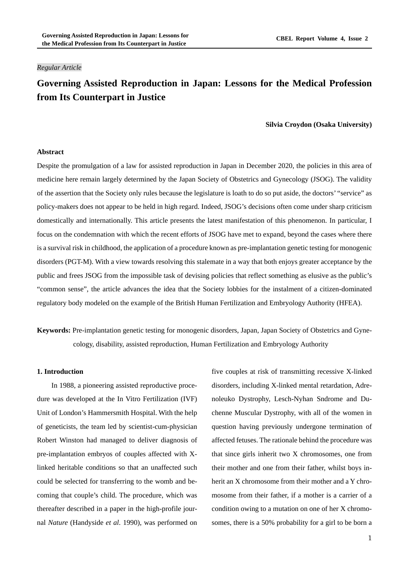## *Regular Article*

# **Governing Assisted Reproduction in Japan: Lessons for the Medical Profession from Its Counterpart in Justice**

### **Silvia Croydon (Osaka University)**

### **Abstract**

Despite the promulgation of a law for assisted reproduction in Japan in December 2020, the policies in this area of medicine here remain largely determined by the Japan Society of Obstetrics and Gynecology (JSOG). The validity of the assertion that the Society only rules because the legislature is loath to do so put aside, the doctors' "service" as policy-makers does not appear to be held in high regard. Indeed, JSOG's decisions often come under sharp criticism domestically and internationally. This article presents the latest manifestation of this phenomenon. In particular, I focus on the condemnation with which the recent efforts of JSOG have met to expand, beyond the cases where there is a survival risk in childhood, the application of a procedure known as pre-implantation genetic testing for monogenic disorders (PGT-M). With a view towards resolving this stalemate in a way that both enjoys greater acceptance by the public and frees JSOG from the impossible task of devising policies that reflect something as elusive as the public's "common sense", the article advances the idea that the Society lobbies for the instalment of a citizen-dominated regulatory body modeled on the example of the British Human Fertilization and Embryology Authority (HFEA).

**Keywords:** Pre-implantation genetic testing for monogenic disorders, Japan, Japan Society of Obstetrics and Gynecology, disability, assisted reproduction, Human Fertilization and Embryology Authority

## **1. Introduction**

In 1988, a pioneering assisted reproductive procedure was developed at the In Vitro Fertilization (IVF) Unit of London's Hammersmith Hospital. With the help of geneticists, the team led by scientist-cum-physician Robert Winston had managed to deliver diagnosis of pre-implantation embryos of couples affected with Xlinked heritable conditions so that an unaffected such could be selected for transferring to the womb and becoming that couple's child. The procedure, which was thereafter described in a paper in the high-profile journal *Nature* (Handyside *et al*. 1990), was performed on

five couples at risk of transmitting recessive X-linked disorders, including X-linked mental retardation, Adrenoleuko Dystrophy, Lesch-Nyhan Sndrome and Duchenne Muscular Dystrophy, with all of the women in question having previously undergone termination of affected fetuses. The rationale behind the procedure was that since girls inherit two X chromosomes, one from their mother and one from their father, whilst boys inherit an X chromosome from their mother and a Y chromosome from their father, if a mother is a carrier of a condition owing to a mutation on one of her X chromosomes, there is a 50% probability for a girl to be born a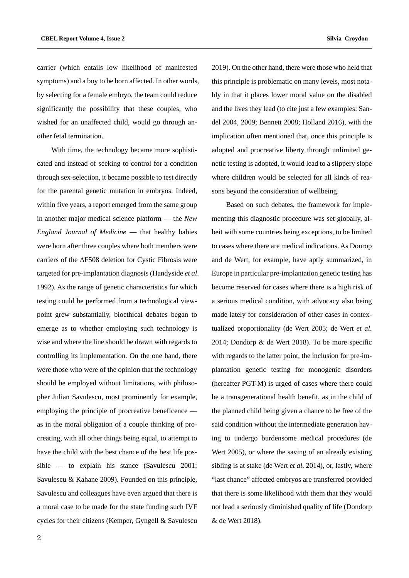carrier (which entails low likelihood of manifested symptoms) and a boy to be born affected. In other words, by selecting for a female embryo, the team could reduce significantly the possibility that these couples, who wished for an unaffected child, would go through another fetal termination.

With time, the technology became more sophisticated and instead of seeking to control for a condition through sex-selection, it became possible to test directly for the parental genetic mutation in embryos. Indeed, within five years, a report emerged from the same group in another major medical science platform — the *New England Journal of Medicine* — that healthy babies were born after three couples where both members were carriers of the ΔF508 deletion for Cystic Fibrosis were targeted for pre-implantation diagnosis (Handyside *et al*. 1992). As the range of genetic characteristics for which testing could be performed from a technological viewpoint grew substantially, bioethical debates began to emerge as to whether employing such technology is wise and where the line should be drawn with regards to controlling its implementation. On the one hand, there were those who were of the opinion that the technology should be employed without limitations, with philosopher Julian Savulescu, most prominently for example, employing the principle of procreative beneficence as in the moral obligation of a couple thinking of procreating, with all other things being equal, to attempt to have the child with the best chance of the best life possible — to explain his stance (Savulescu 2001; Savulescu & Kahane 2009). Founded on this principle, Savulescu and colleagues have even argued that there is a moral case to be made for the state funding such IVF cycles for their citizens (Kemper, Gyngell & Savulescu

2019). On the other hand, there were those who held that this principle is problematic on many levels, most notably in that it places lower moral value on the disabled and the lives they lead (to cite just a few examples: Sandel 2004, 2009; Bennett 2008; Holland 2016), with the implication often mentioned that, once this principle is adopted and procreative liberty through unlimited genetic testing is adopted, it would lead to a slippery slope where children would be selected for all kinds of reasons beyond the consideration of wellbeing.

Based on such debates, the framework for implementing this diagnostic procedure was set globally, albeit with some countries being exceptions, to be limited to cases where there are medical indications. As Donrop and de Wert, for example, have aptly summarized, in Europe in particular pre-implantation genetic testing has become reserved for cases where there is a high risk of a serious medical condition, with advocacy also being made lately for consideration of other cases in contextualized proportionality (de Wert 2005; de Wert *et al*. 2014; Dondorp & de Wert 2018). To be more specific with regards to the latter point, the inclusion for pre-implantation genetic testing for monogenic disorders (hereafter PGT-M) is urged of cases where there could be a transgenerational health benefit, as in the child of the planned child being given a chance to be free of the said condition without the intermediate generation having to undergo burdensome medical procedures (de Wert 2005), or where the saving of an already existing sibling is at stake (de Wert *et al*. 2014), or, lastly, where "last chance" affected embryos are transferred provided that there is some likelihood with them that they would not lead a seriously diminished quality of life (Dondorp & de Wert 2018).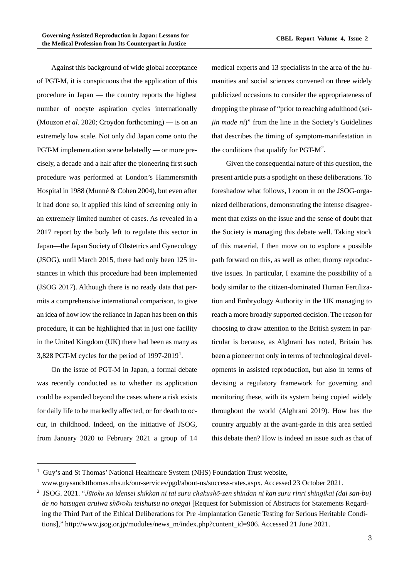Against this background of wide global acceptance of PGT-M, it is conspicuous that the application of this procedure in Japan — the country reports the highest number of oocyte aspiration cycles internationally (Mouzon *et al*. 2020; Croydon forthcoming) — is on an extremely low scale. Not only did Japan come onto the PGT-M implementation scene belatedly — or more precisely, a decade and a half after the pioneering first such procedure was performed at London's Hammersmith Hospital in 1988 (Munné & Cohen 2004), but even after it had done so, it applied this kind of screening only in an extremely limited number of cases. As revealed in a 2017 report by the body left to regulate this sector in Japan—the Japan Society of Obstetrics and Gynecology (JSOG), until March 2015, there had only been 125 instances in which this procedure had been implemented (JSOG 2017). Although there is no ready data that permits a comprehensive international comparison, to give an idea of how low the reliance in Japan has been on this procedure, it can be highlighted that in just one facility in the United Kingdom (UK) there had been as many as 3,828 PGT-M cycles for the period of  $1997-2019<sup>1</sup>$  $1997-2019<sup>1</sup>$ .

On the issue of PGT-M in Japan, a formal debate was recently conducted as to whether its application could be expanded beyond the cases where a risk exists for daily life to be markedly affected, or for death to occur, in childhood. Indeed, on the initiative of JSOG, from January 2020 to February 2021 a group of 14

medical experts and 13 specialists in the area of the humanities and social sciences convened on three widely publicized occasions to consider the appropriateness of dropping the phrase of "prior to reaching adulthood (*seijin made ni*)" from the line in the Society's Guidelines that describes the timing of symptom-manifestation in the conditions that qualify for PGT- $M^2$  $M^2$ .

Given the consequential nature of this question, the present article puts a spotlight on these deliberations. To foreshadow what follows, I zoom in on the JSOG-organized deliberations, demonstrating the intense disagreement that exists on the issue and the sense of doubt that the Society is managing this debate well. Taking stock of this material, I then move on to explore a possible path forward on this, as well as other, thorny reproductive issues. In particular, I examine the possibility of a body similar to the citizen-dominated Human Fertilization and Embryology Authority in the UK managing to reach a more broadly supported decision. The reason for choosing to draw attention to the British system in particular is because, as Alghrani has noted, Britain has been a pioneer not only in terms of technological developments in assisted reproduction, but also in terms of devising a regulatory framework for governing and monitoring these, with its system being copied widely throughout the world (Alghrani 2019). How has the country arguably at the avant-garde in this area settled this debate then? How is indeed an issue such as that of

<span id="page-2-0"></span><sup>&</sup>lt;sup>1</sup> Guy's and St Thomas' National Healthcare System (NHS) Foundation Trust website,

www.guysandstthomas.nhs.uk/our-services/pgd/about-us/success-rates.aspx. Accessed 23 October 2021.

<span id="page-2-1"></span><sup>2</sup> JSOG. 2021. "*Jūtoku na idensei shikkan ni tai suru chakushō-zen shindan ni kan suru rinri shingikai (dai san-bu) de no hatsugen aruiwa shōroku teishutsu no onegai* [Request for Submission of Abstracts for Statements Regarding the Third Part of the Ethical Deliberations for Pre -implantation Genetic Testing for Serious Heritable Conditions]," http://www.jsog.or.jp/modules/news\_m/index.php?content\_id=906. Accessed 21 June 2021.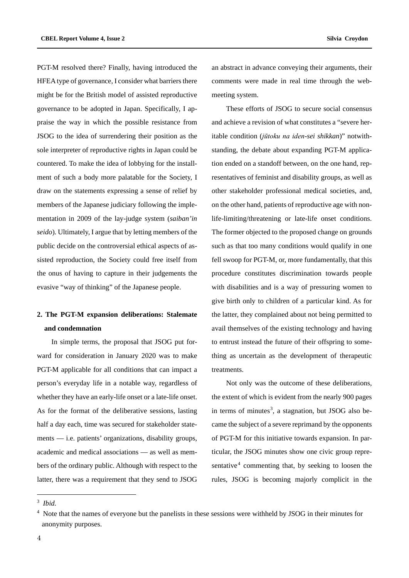PGT-M resolved there? Finally, having introduced the HFEA type of governance, I consider what barriers there might be for the British model of assisted reproductive governance to be adopted in Japan. Specifically, I appraise the way in which the possible resistance from JSOG to the idea of surrendering their position as the sole interpreter of reproductive rights in Japan could be countered. To make the idea of lobbying for the installment of such a body more palatable for the Society, I draw on the statements expressing a sense of relief by members of the Japanese judiciary following the implementation in 2009 of the lay-judge system (*saiban'in seido*). Ultimately, I argue that by letting members of the public decide on the controversial ethical aspects of assisted reproduction, the Society could free itself from the onus of having to capture in their judgements the evasive "way of thinking" of the Japanese people.

# **2. The PGT-M expansion deliberations: Stalemate and condemnation**

In simple terms, the proposal that JSOG put forward for consideration in January 2020 was to make PGT-M applicable for all conditions that can impact a person's everyday life in a notable way, regardless of whether they have an early-life onset or a late-life onset. As for the format of the deliberative sessions, lasting half a day each, time was secured for stakeholder statements — i.e. patients' organizations, disability groups, academic and medical associations — as well as members of the ordinary public. Although with respect to the latter, there was a requirement that they send to JSOG an abstract in advance conveying their arguments, their comments were made in real time through the webmeeting system.

These efforts of JSOG to secure social consensus and achieve a revision of what constitutes a "severe heritable condition (*jūtoku na iden-sei shikkan*)" notwithstanding, the debate about expanding PGT-M application ended on a standoff between, on the one hand, representatives of feminist and disability groups, as well as other stakeholder professional medical societies, and, on the other hand, patients of reproductive age with nonlife-limiting/threatening or late-life onset conditions. The former objected to the proposed change on grounds such as that too many conditions would qualify in one fell swoop for PGT-M, or, more fundamentally, that this procedure constitutes discrimination towards people with disabilities and is a way of pressuring women to give birth only to children of a particular kind. As for the latter, they complained about not being permitted to avail themselves of the existing technology and having to entrust instead the future of their offspring to something as uncertain as the development of therapeutic treatments.

Not only was the outcome of these deliberations, the extent of which is evident from the nearly 900 pages in terms of minutes<sup>[3](#page-3-0)</sup>, a stagnation, but JSOG also became the subject of a severe reprimand by the opponents of PGT-M for this initiative towards expansion. In particular, the JSOG minutes show one civic group repre-sentative<sup>[4](#page-3-1)</sup> commenting that, by seeking to loosen the rules, JSOG is becoming majorly complicit in the

<span id="page-3-0"></span><sup>3</sup> *Ibid.*

<span id="page-3-1"></span><sup>&</sup>lt;sup>4</sup> Note that the names of everyone but the panelists in these sessions were withheld by JSOG in their minutes for anonymity purposes.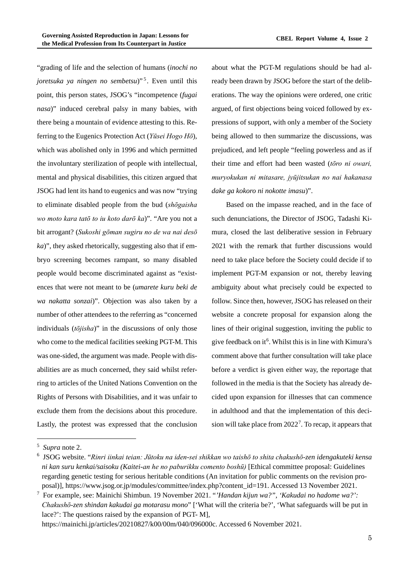"grading of life and the selection of humans (*inochi no joretsuka ya ningen no sembetsu*)"<sup>[5](#page-4-0)</sup>. Even until this point, this person states, JSOG's "incompetence (*fugai nasa*)" induced cerebral palsy in many babies, with there being a mountain of evidence attesting to this. Referring to the Eugenics Protection Act (*Yūsei Hogo Hō*), which was abolished only in 1996 and which permitted the involuntary sterilization of people with intellectual, mental and physical disabilities, this citizen argued that JSOG had lent its hand to eugenics and was now "trying to eliminate disabled people from the bud (*shōgaisha wo moto kara tatō to iu koto darō ka*)". "Are you not a bit arrogant? (*Sukoshi gōman sugiru no de wa nai desō ka*)", they asked rhetorically, suggesting also that if embryo screening becomes rampant, so many disabled people would become discriminated against as "existences that were not meant to be (*umarete kuru beki de wa nakatta sonzai*)". Objection was also taken by a number of other attendees to the referring as "concerned individuals (*tōjisha*)" in the discussions of only those who come to the medical facilities seeking PGT-M. This was one-sided, the argument was made. People with disabilities are as much concerned, they said whilst referring to articles of the United Nations Convention on the Rights of Persons with Disabilities, and it was unfair to exclude them from the decisions about this procedure. Lastly, the protest was expressed that the conclusion about what the PGT-M regulations should be had already been drawn by JSOG before the start of the deliberations. The way the opinions were ordered, one critic argued, of first objections being voiced followed by expressions of support, with only a member of the Society being allowed to then summarize the discussions, was prejudiced, and left people "feeling powerless and as if their time and effort had been wasted (*tōro ni owari, muryokukan ni mitasare, jyūjitsukan no nai hakanasa dake ga kokoro ni nokotte imasu*)".

Based on the impasse reached, and in the face of such denunciations, the Director of JSOG, Tadashi Kimura, closed the last deliberative session in February 2021 with the remark that further discussions would need to take place before the Society could decide if to implement PGT-M expansion or not, thereby leaving ambiguity about what precisely could be expected to follow. Since then, however, JSOG has released on their website a concrete proposal for expansion along the lines of their original suggestion, inviting the public to give feedback on it<sup>[6](#page-4-1)</sup>. Whilst this is in line with Kimura's comment above that further consultation will take place before a verdict is given either way, the reportage that followed in the media is that the Society has already decided upon expansion for illnesses that can commence in adulthood and that the implementation of this decision will take place from  $2022<sup>7</sup>$  $2022<sup>7</sup>$  $2022<sup>7</sup>$ . To recap, it appears that

[https://mainichi.jp/articles/20210827/k00/00m/040/096000c.](https://mainichi.jp/articles/20210827/k00/00m/040/096000c) Accessed 6 November 2021.

<span id="page-4-0"></span><sup>5</sup> *Supra* note 2.

<span id="page-4-1"></span><sup>6</sup> JSOG website. "*Rinri iinkai teian: Jūtoku na iden-sei shikkan wo taishō to shita chakushō-zen idengakuteki kensa ni kan suru kenkai/saisoku (Kaitei-an he no paburikku comento boshū)* [Ethical committee proposal: Guidelines regarding genetic testing for serious heritable conditions (An invitation for public comments on the revision proposal)], https://www.jsog.or.jp/modules/committee/index.php?content\_id=191. Accessed 13 November 2021.

<span id="page-4-2"></span><sup>7</sup> For example, see: Mainichi Shimbun. 19 November 2021. "*'Handan kijun wa?", 'Kakudai no hadome wa?': Chakushō-zen shindan kakudai ga motarasu mono*" ['What will the criteria be?', 'What safeguards will be put in lace?': The questions raised by the expansion of PGT- M],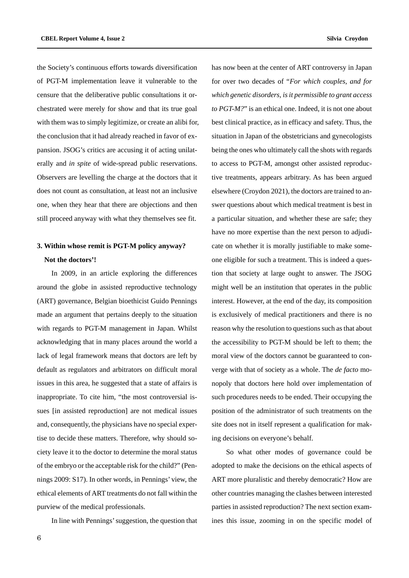the Society's continuous efforts towards diversification of PGT-M implementation leave it vulnerable to the censure that the deliberative public consultations it orchestrated were merely for show and that its true goal with them was to simply legitimize, or create an alibi for, the conclusion that it had already reached in favor of expansion. JSOG's critics are accusing it of acting unilaterally and *in spite* of wide-spread public reservations. Observers are levelling the charge at the doctors that it does not count as consultation, at least not an inclusive one, when they hear that there are objections and then still proceed anyway with what they themselves see fit.

# **3. Within whose remit is PGT-M policy anyway? Not the doctors'!**

In 2009, in an article exploring the differences around the globe in assisted reproductive technology (ART) governance, Belgian bioethicist Guido Pennings made an argument that pertains deeply to the situation with regards to PGT-M management in Japan. Whilst acknowledging that in many places around the world a lack of legal framework means that doctors are left by default as regulators and arbitrators on difficult moral issues in this area, he suggested that a state of affairs is inappropriate. To cite him, "the most controversial issues [in assisted reproduction] are not medical issues and, consequently, the physicians have no special expertise to decide these matters. Therefore, why should society leave it to the doctor to determine the moral status of the embryo or the acceptable risk for the child?" (Pennings 2009: S17). In other words, in Pennings' view, the ethical elements of ART treatments do not fall within the purview of the medical professionals.

In line with Pennings' suggestion, the question that

has now been at the center of ART controversy in Japan for over two decades of "*For which couples, and for which genetic disorders, is it permissible to grant access to PGT-M?*" is an ethical one. Indeed, it is not one about best clinical practice, as in efficacy and safety. Thus, the situation in Japan of the obstetricians and gynecologists being the ones who ultimately call the shots with regards to access to PGT-M, amongst other assisted reproductive treatments, appears arbitrary. As has been argued elsewhere (Croydon 2021), the doctors are trained to answer questions about which medical treatment is best in a particular situation, and whether these are safe; they have no more expertise than the next person to adjudicate on whether it is morally justifiable to make someone eligible for such a treatment. This is indeed a question that society at large ought to answer. The JSOG might well be an institution that operates in the public interest. However, at the end of the day, its composition is exclusively of medical practitioners and there is no reason why the resolution to questions such as that about the accessibility to PGT-M should be left to them; the moral view of the doctors cannot be guaranteed to converge with that of society as a whole. The *de facto* monopoly that doctors here hold over implementation of such procedures needs to be ended. Their occupying the position of the administrator of such treatments on the site does not in itself represent a qualification for making decisions on everyone's behalf.

So what other modes of governance could be adopted to make the decisions on the ethical aspects of ART more pluralistic and thereby democratic? How are other countries managing the clashes between interested parties in assisted reproduction? The next section examines this issue, zooming in on the specific model of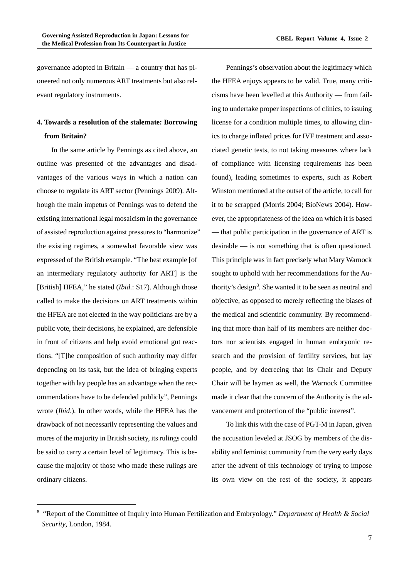governance adopted in Britain — a country that has pioneered not only numerous ART treatments but also relevant regulatory instruments.

# **4. Towards a resolution of the stalemate: Borrowing from Britain?**

In the same article by Pennings as cited above, an outline was presented of the advantages and disadvantages of the various ways in which a nation can choose to regulate its ART sector (Pennings 2009). Although the main impetus of Pennings was to defend the existing international legal mosaicism in the governance of assisted reproduction against pressures to "harmonize" the existing regimes, a somewhat favorable view was expressed of the British example. "The best example [of an intermediary regulatory authority for ART] is the [British] HFEA," he stated (*Ibid.*: S17). Although those called to make the decisions on ART treatments within the HFEA are not elected in the way politicians are by a public vote, their decisions, he explained, are defensible in front of citizens and help avoid emotional gut reactions. "[T]he composition of such authority may differ depending on its task, but the idea of bringing experts together with lay people has an advantage when the recommendations have to be defended publicly", Pennings wrote (*Ibid*.). In other words, while the HFEA has the drawback of not necessarily representing the values and mores of the majority in British society, its rulings could be said to carry a certain level of legitimacy. This is because the majority of those who made these rulings are ordinary citizens.

Pennings's observation about the legitimacy which the HFEA enjoys appears to be valid. True, many criticisms have been levelled at this Authority — from failing to undertake proper inspections of clinics, to issuing license for a condition multiple times, to allowing clinics to charge inflated prices for IVF treatment and associated genetic tests, to not taking measures where lack of compliance with licensing requirements has been found), leading sometimes to experts, such as Robert Winston mentioned at the outset of the article, to call for it to be scrapped (Morris 2004; BioNews 2004). However, the appropriateness of the idea on which it is based — that public participation in the governance of ART is desirable — is not something that is often questioned. This principle was in fact precisely what Mary Warnock sought to uphold with her recommendations for the Au-thority's design<sup>[8](#page-6-0)</sup>. She wanted it to be seen as neutral and objective, as opposed to merely reflecting the biases of the medical and scientific community. By recommending that more than half of its members are neither doctors nor scientists engaged in human embryonic research and the provision of fertility services, but lay people, and by decreeing that its Chair and Deputy Chair will be laymen as well, the Warnock Committee made it clear that the concern of the Authority is the advancement and protection of the "public interest".

To link this with the case of PGT-M in Japan, given the accusation leveled at JSOG by members of the disability and feminist community from the very early days after the advent of this technology of trying to impose its own view on the rest of the society, it appears

<span id="page-6-0"></span><sup>8</sup> "Report of the Committee of Inquiry into Human Fertilization and Embryology." *Department of Health & Social Security*, London, 1984.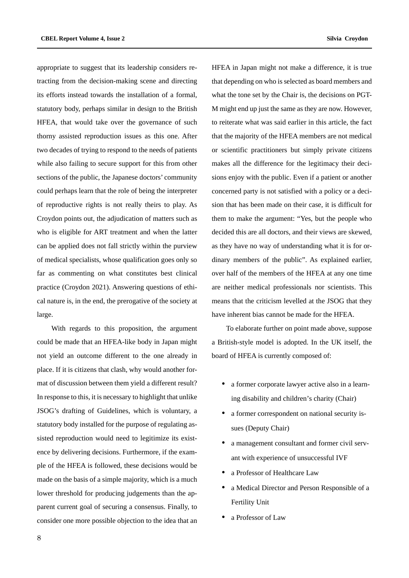appropriate to suggest that its leadership considers retracting from the decision-making scene and directing its efforts instead towards the installation of a formal, statutory body, perhaps similar in design to the British HFEA, that would take over the governance of such thorny assisted reproduction issues as this one. After two decades of trying to respond to the needs of patients while also failing to secure support for this from other sections of the public, the Japanese doctors' community could perhaps learn that the role of being the interpreter of reproductive rights is not really theirs to play. As Croydon points out, the adjudication of matters such as who is eligible for ART treatment and when the latter can be applied does not fall strictly within the purview of medical specialists, whose qualification goes only so far as commenting on what constitutes best clinical practice (Croydon 2021). Answering questions of ethical nature is, in the end, the prerogative of the society at large.

With regards to this proposition, the argument could be made that an HFEA-like body in Japan might not yield an outcome different to the one already in place. If it is citizens that clash, why would another format of discussion between them yield a different result? In response to this, it is necessary to highlight that unlike JSOG's drafting of Guidelines, which is voluntary, a statutory body installed for the purpose of regulating assisted reproduction would need to legitimize its existence by delivering decisions. Furthermore, if the example of the HFEA is followed, these decisions would be made on the basis of a simple majority, which is a much lower threshold for producing judgements than the apparent current goal of securing a consensus. Finally, to consider one more possible objection to the idea that an

HFEA in Japan might not make a difference, it is true that depending on who is selected as board members and what the tone set by the Chair is, the decisions on PGT-M might end up just the same as they are now. However, to reiterate what was said earlier in this article, the fact that the majority of the HFEA members are not medical or scientific practitioners but simply private citizens makes all the difference for the legitimacy their decisions enjoy with the public. Even if a patient or another concerned party is not satisfied with a policy or a decision that has been made on their case, it is difficult for them to make the argument: "Yes, but the people who decided this are all doctors, and their views are skewed, as they have no way of understanding what it is for ordinary members of the public". As explained earlier, over half of the members of the HFEA at any one time are neither medical professionals nor scientists. This means that the criticism levelled at the JSOG that they

To elaborate further on point made above, suppose a British-style model is adopted. In the UK itself, the board of HFEA is currently composed of:

have inherent bias cannot be made for the HFEA.

- a former corporate lawyer active also in a learning disability and children's charity (Chair)
- a former correspondent on national security issues (Deputy Chair)
- a management consultant and former civil servant with experience of unsuccessful IVF
- a Professor of Healthcare Law
- a Medical Director and Person Responsible of a Fertility Unit
- a Professor of Law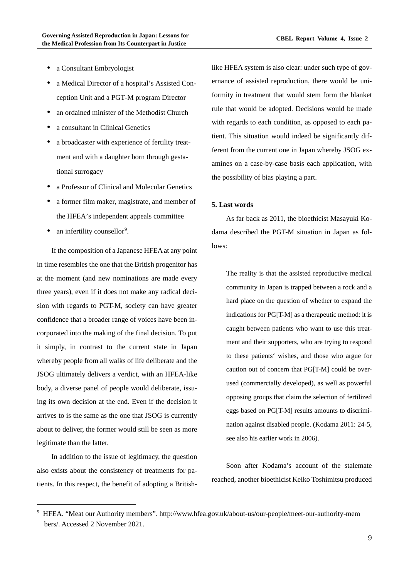- a Consultant Embryologist
- a Medical Director of a hospital's Assisted Conception Unit and a PGT-M program Director
- an ordained minister of the Methodist Church
- a consultant in Clinical Genetics
- a broadcaster with experience of fertility treatment and with a daughter born through gestational surrogacy
- a Professor of Clinical and Molecular Genetics
- a former film maker, magistrate, and member of the HFEA's independent appeals committee
- an infertility counsellor<sup>[9](#page-8-0)</sup>.

If the composition of a Japanese HFEA at any point in time resembles the one that the British progenitor has at the moment (and new nominations are made every three years), even if it does not make any radical decision with regards to PGT-M, society can have greater confidence that a broader range of voices have been incorporated into the making of the final decision. To put it simply, in contrast to the current state in Japan whereby people from all walks of life deliberate and the JSOG ultimately delivers a verdict, with an HFEA-like body, a diverse panel of people would deliberate, issuing its own decision at the end. Even if the decision it arrives to is the same as the one that JSOG is currently about to deliver, the former would still be seen as more legitimate than the latter.

In addition to the issue of legitimacy, the question also exists about the consistency of treatments for patients. In this respect, the benefit of adopting a Britishlike HFEA system is also clear: under such type of governance of assisted reproduction, there would be uniformity in treatment that would stem form the blanket rule that would be adopted. Decisions would be made with regards to each condition, as opposed to each patient. This situation would indeed be significantly different from the current one in Japan whereby JSOG examines on a case-by-case basis each application, with the possibility of bias playing a part.

## **5. Last words**

As far back as 2011, the bioethicist Masayuki Kodama described the PGT-M situation in Japan as follows:

The reality is that the assisted reproductive medical community in Japan is trapped between a rock and a hard place on the question of whether to expand the indications for PG[T-M] as a therapeutic method: it is caught between patients who want to use this treatment and their supporters, who are trying to respond to these patients' wishes, and those who argue for caution out of concern that PG[T-M] could be overused (commercially developed), as well as powerful opposing groups that claim the selection of fertilized eggs based on PG[T-M] results amounts to discrimination against disabled people. (Kodama 2011: 24-5, see also his earlier work in 2006).

Soon after Kodama's account of the stalemate reached, another bioethicist Keiko Toshimitsu produced

<span id="page-8-0"></span><sup>9</sup> HFEA. "Meat our Authority members". http://www.hfea.gov.uk/about-us/our-people/meet-our-authority-mem bers/. Accessed 2 November 2021.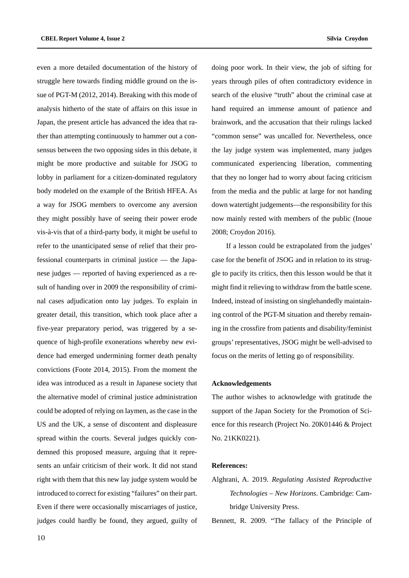even a more detailed documentation of the history of struggle here towards finding middle ground on the issue of PGT-M (2012, 2014). Breaking with this mode of analysis hitherto of the state of affairs on this issue in Japan, the present article has advanced the idea that rather than attempting continuously to hammer out a consensus between the two opposing sides in this debate, it might be more productive and suitable for JSOG to lobby in parliament for a citizen-dominated regulatory body modeled on the example of the British HFEA. As a way for JSOG members to overcome any aversion they might possibly have of seeing their power erode vis-à-vis that of a third-party body, it might be useful to refer to the unanticipated sense of relief that their professional counterparts in criminal justice — the Japanese judges — reported of having experienced as a result of handing over in 2009 the responsibility of criminal cases adjudication onto lay judges. To explain in greater detail, this transition, which took place after a five-year preparatory period, was triggered by a sequence of high-profile exonerations whereby new evidence had emerged undermining former death penalty convictions (Foote 2014, 2015). From the moment the idea was introduced as a result in Japanese society that the alternative model of criminal justice administration could be adopted of relying on laymen, as the case in the US and the UK, a sense of discontent and displeasure spread within the courts. Several judges quickly condemned this proposed measure, arguing that it represents an unfair criticism of their work. It did not stand right with them that this new lay judge system would be introduced to correct for existing "failures" on their part. Even if there were occasionally miscarriages of justice, judges could hardly be found, they argued, guilty of doing poor work. In their view, the job of sifting for years through piles of often contradictory evidence in search of the elusive "truth" about the criminal case at hand required an immense amount of patience and brainwork, and the accusation that their rulings lacked "common sense" was uncalled for. Nevertheless, once the lay judge system was implemented, many judges communicated experiencing liberation, commenting that they no longer had to worry about facing criticism from the media and the public at large for not handing down watertight judgements—the responsibility for this now mainly rested with members of the public (Inoue 2008; Croydon 2016).

If a lesson could be extrapolated from the judges' case for the benefit of JSOG and in relation to its struggle to pacify its critics, then this lesson would be that it might find it relieving to withdraw from the battle scene. Indeed, instead of insisting on singlehandedly maintaining control of the PGT-M situation and thereby remaining in the crossfire from patients and disability/feminist groups' representatives, JSOG might be well-advised to focus on the merits of letting go of responsibility.

### **Acknowledgements**

The author wishes to acknowledge with gratitude the support of the Japan Society for the Promotion of Science for this research (Project No. 20K01446 & Project No. 21KK0221).

### **References:**

Alghrani, A. 2019. *Regulating Assisted Reproductive Technologies – New Horizons*. Cambridge: Cambridge University Press.

Bennett, R. 2009. "The fallacy of the Principle of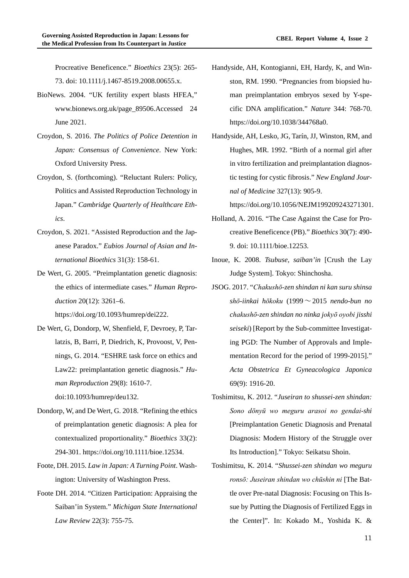Procreative Beneficence." *Bioethics* 23(5): 265- 73. doi: 10.1111/j.1467-8519.2008.00655.x.

- BioNews. 2004. "UK fertility expert blasts HFEA," www.bionews.org.uk/page\_89506.Accessed 24 June 2021.
- Croydon, S. 2016. *The Politics of Police Detention in Japan: Consensus of Convenience*. New York: Oxford University Press.
- Croydon, S. (forthcoming). "Reluctant Rulers: Policy, Politics and Assisted Reproduction Technology in Japan." *Cambridge Quarterly of Healthcare Ethics*.
- Croydon, S. 2021. "Assisted Reproduction and the Japanese Paradox." *Eubios Journal of Asian and International Bioethics* 31(3): 158-61.
- De Wert, G. 2005. "Preimplantation genetic diagnosis: the ethics of intermediate cases." *Human Reproduction* 20(12): 3261–6. https://doi.org/10.1093/humrep/dei222.
- De Wert, G, Dondorp, W, Shenfield, F, Devroey, P, Tarlatzis, B, Barri, P, Diedrich, K, Provoost, V, Pennings, G. 2014. "ESHRE task force on ethics and Law22: preimplantation genetic diagnosis." *Human Reproduction* 29(8): 1610-7. doi:10.1093/humrep/deu132.
	-
- Dondorp, W, and De Wert, G. 2018. "Refining the ethics of preimplantation genetic diagnosis: A plea for contextualized proportionality." *Bioethics* 33(2): 294-301. https://doi.org/10.1111/bioe.12534.
- Foote, DH. 2015. *Law in Japan: A Turning Point*. Washington: University of Washington Press.
- Foote DH. 2014. "Citizen Participation: Appraising the Saiban'in System." *Michigan State International Law Review* 22(3): 755-75.
- Handyside, AH, Kontogianni, EH, Hardy, K, and Winston, RM. 1990. "Pregnancies from biopsied human preimplantation embryos sexed by Y-specific DNA amplification." *Nature* 344: 768-70. https://doi.org/10.1038/344768a0.
- Handyside, AH, Lesko, JG, Tarín, JJ, Winston, RM, and Hughes, MR. 1992. "Birth of a normal girl after in vitro fertilization and preimplantation diagnostic testing for cystic fibrosis." *New England Journal of Medicine* 327(13): 905-9.

https://doi.org/10.1056/NEJM199209243271301.

- Holland, A. 2016. "The Case Against the Case for Procreative Beneficence (PB)." *Bioethics* 30(7): 490- 9. doi: 10.1111/bioe.12253.
- Inoue, K. 2008. *Tsubuse, saiban'in* [Crush the Lay Judge System]. Tokyo: Shinchosha.
- JSOG. 2017. "*Chakushō-zen shindan ni kan suru shinsa shō-iinkai hōkoku* (1999~2015 *nendo-bun no chakushō-zen shindan no ninka jokyō oyobi jisshi seiseki*) [Report by the Sub-committee Investigating PGD: The Number of Approvals and Implementation Record for the period of 1999-2015]." *Acta Obstetrica Et Gyneacologica Japonica* 69(9): 1916-20.
- Toshimitsu, K. 2012. "*Juseiran to shussei-zen shindan: Sono dōnyū wo meguru arasoi no gendai-shi*  [Preimplantation Genetic Diagnosis and Prenatal Diagnosis: Modern History of the Struggle over Its Introduction]." Tokyo: Seikatsu Shoin.
- Toshimitsu, K. 2014. "*Shussei-zen shindan wo meguru ronsō: Juseiran shindan wo chūshin ni* [The Battle over Pre-natal Diagnosis: Focusing on This Issue by Putting the Diagnosis of Fertilized Eggs in the Center]". In: Kokado M., Yoshida K. &